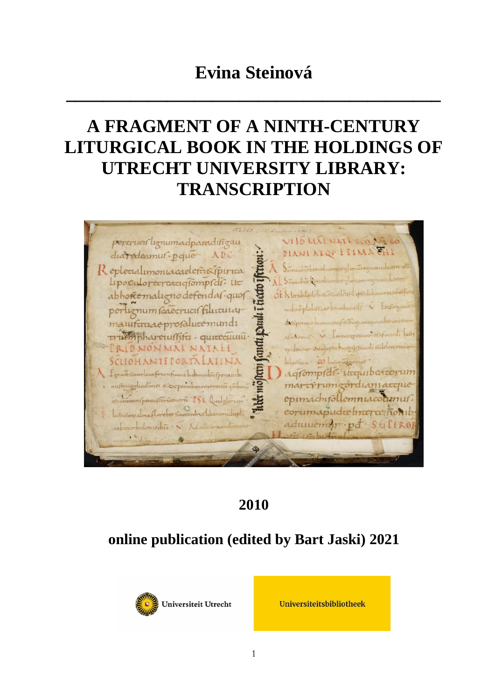## **Evina Steinová**

**\_\_\_\_\_\_\_\_\_\_\_\_\_\_\_\_\_\_\_\_\_\_\_\_\_\_\_\_\_\_\_\_\_\_\_\_\_\_\_\_\_**

# **A FRAGMENT OF A NINTH-CENTURY LITURGICAL BOOK IN THE HOLDINGS OF UTRECHT UNIVERSITY LIBRARY: TRANSCRIPTION**



### **2010**

## **online publication (edited by Bart Jaski) 2021**



Universiteitsbibliotheek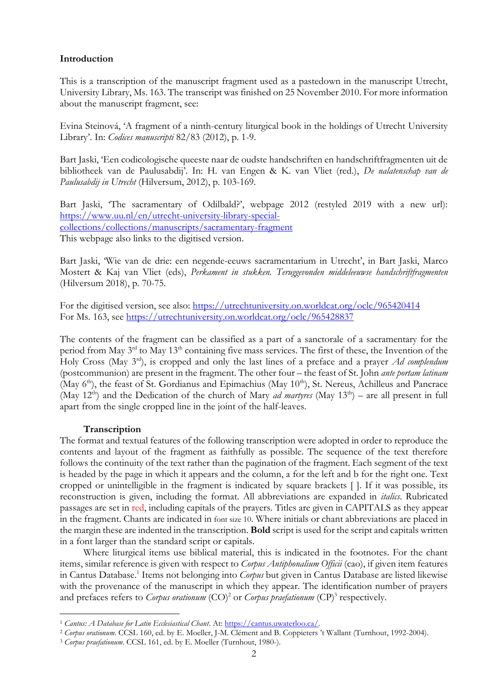#### **Introduction**

This is a transcription of the manuscript fragment used as a pastedown in the manuscript Utrecht, University Library, Ms. 163. The transcript was finished on 25 November 2010. For more information about the manuscript fragment, see:

Evina Steinová, 'A fragment of a ninth-century liturgical book in the holdings of Utrecht University Library'. In: *Codices manuscripti* 82/83 (2012), p. 1-9.

Bart Jaski, 'Een codicologische queeste naar de oudste handschriften en handschriftfragmenten uit de bibliotheek van de Paulusabdij'. In: H. van Engen & K. van Vliet (red.), *De nalatenschap van de Paulusabdij in Utrecht* (Hilversum, 2012), p. 103-169.

Bart Jaski, 'The sacramentary of Odilbald?', webpage 2012 (restyled 2019 with a new url): [https://www.uu.nl/en/utrecht-university-library-special](https://www.uu.nl/en/utrecht-university-library-special-collections/collections/manuscripts/sacramentary-fragment)[collections/collections/manuscripts/sacramentary-fragment](https://www.uu.nl/en/utrecht-university-library-special-collections/collections/manuscripts/sacramentary-fragment) This webpage also links to the digitised version.

Bart Jaski, 'Wie van de drie: een negende-eeuws sacramentarium in Utrecht', in Bart Jaski, Marco Mostert & Kaj van Vliet (eds), *Perkament in stukken. Teruggevonden middeleeuwse handschriftfragmenten* (Hilversum 2018), p. 70-75.

For the digitised version, see also:<https://utrechtuniversity.on.worldcat.org/oclc/965420414> For Ms. 163, see<https://utrechtuniversity.on.worldcat.org/oclc/965428837>

The contents of the fragment can be classified as a part of a sanctorale of a sacramentary for the period from May 3<sup>rd</sup> to May 13<sup>th</sup> containing five mass services. The first of these, the Invention of the Holy Cross (May 3rd), is cropped and only the last lines of a preface and a prayer *Ad complendum* (postcommunion) are present in the fragment. The other four – the feast of St. John *ante portam latinam* (May  $6<sup>th</sup>$ ), the feast of St. Gordianus and Epimachius (May  $10<sup>th</sup>$ ), St. Nereus, Achilleus and Pancrace (May 12<sup>th</sup>) and the Dedication of the church of Mary *ad martyres* (May 13<sup>th</sup>) – are all present in full apart from the single cropped line in the joint of the half-leaves.

#### **Transcription**

The format and textual features of the following transcription were adopted in order to reproduce the contents and layout of the fragment as faithfully as possible. The sequence of the text therefore follows the continuity of the text rather than the pagination of the fragment. Each segment of the text is headed by the page in which it appears and the column, a for the left and b for the right one. Text cropped or unintelligible in the fragment is indicated by square brackets [ ]. If it was possible, its reconstruction is given, including the format. All abbreviations are expanded in *italics*. Rubricated passages are set in red, including capitals of the prayers. Titles are given in CAPITALS as they appear in the fragment. Chants are indicated in font size 10. Where initials or chant abbreviations are placed in the margin these are indented in the transcription. **Bold** script is used for the script and capitals written in a font larger than the standard script or capitals.

Where liturgical items use biblical material, this is indicated in the footnotes. For the chant items, similar reference is given with respect to *Corpus Antiphonalium Officii* (cao), if given item features in Cantus Database.<sup>1</sup> Items not belonging into *Corpus* but given in Cantus Database are listed likewise with the provenance of the manuscript in which they appear. The identification number of prayers and prefaces refers to *Corpus orationum* (CO)<sup>2</sup> or *Corpus praefationum* (CP)<sup>3</sup> respectively.

<sup>1</sup> *Cantus: A Database for Latin Ecclesiastical Chant*. At: [https://cantus.uwaterloo.ca/.](https://cantus.uwaterloo.ca/)

<sup>2</sup> *Corpus orationum*. CCSL 160, ed. by E. Moeller, J-M. Clément and B. Coppieters 't Wallant (Turnhout, 1992-2004).

<sup>3</sup> *Corpus praefationum*. CCSL 161, ed. by E. Moeller (Turnhout, 1980-).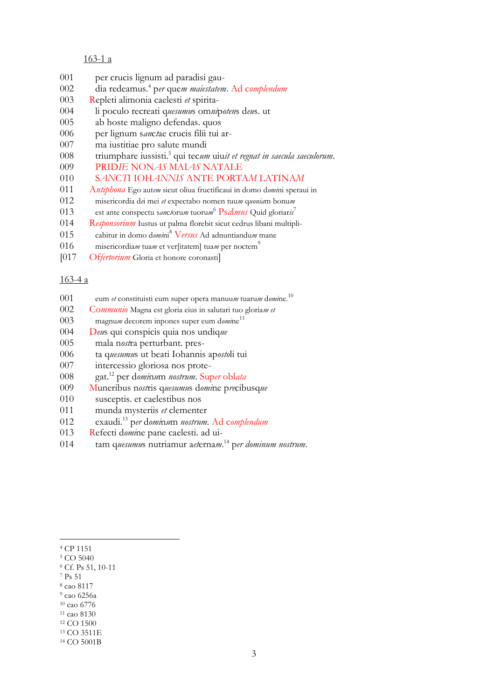#### 163-1 a

- per crucis lignum ad paradisi gau-
- dia redeamus.<sup>4</sup> p*er* que*m maiestatem*. Ad c*omplendum*
- Repleti alimonia caelesti *et* spirita-
- li poculo recreati q*uesumu*s om*ni*p*oten*s d*eu*s. ut
- ab hoste maligno defendas. quos
- per lignum s*an*c*t*ae crucis filii tui ar-
- ma iustitiae pro salute mundi
- triumphare iussisti.<sup>5</sup> qui tec*um* uiu*it et regnat in saecula saeculorum*.
- PRID*IE* NON*AS* MAI*AS* NATALE
- S*AN*C*T*I IOH*ANNIS* ANTE PORTA*M* LATINA*M*
- A*ntiphona* Ego aut*em* sicut oliua fructificaui in domo d*omi*ni speraui in
- misericordia d*e*i mei *et* expectabo nomen tuu*m* q*uonia*m bonu*m*
- est ante conspectu s*an*c*t*oru*m* tuoru*m* <sup>6</sup> Ps*a*l*mus* Quid gloriar*is*<sup>7</sup>
- R*esponsorium* Iustus ut palma florebit sicut cedrus libani multipli-
- cabitur in domo d*omi*ni<sup>8</sup> V*ersus* Ad adnuntiandu*m* mane
- 016 misericordiam tuam et verfitatem tuam per noctem<sup>9</sup>
- [017 Of*fertorium* Gloria et honore coronasti]

#### 163-4 a

- eum *et* constituisti eum super opera manuu*m* tuaru*m* d*omi*ne. 10
- Co*mmunio* Magna est gloria eius in salutari tuo gloria*m et*
- magnu*m* decorem inpones super eum d*omi*ne 11
- D*eu*s qui conspicis quia nos undiq*ue*
- mala n*ost*ra perturbant. pres-
- ta q*uesumu*s ut beati Iohannis ap*osto*li tui
- intercessio gloriosa nos prote-
- gat.<sup>12</sup> per d*omi*n*u*m *nostrum*. Sup*er* obl*ata*
- Muneribus n*ost*ris q*uesumu*s d*omi*ne p*re*cibusq*ue*
- susceptis. et caelestibus nos
- munda mysteriis *et* clementer
- exaudi.<sup>13</sup> p*er* d*omi*n*u*m *nostrum.* Ad c*omplendum*
- Refecti d*omi*ne pane caelesti. ad ui-
- tam q*uesumu*s nutriamur a*et*erna*m*. <sup>14</sup> p*er dominum nostrum*.

- CP 1151
- CO 5040
- Cf. Ps 51, 10-11
- Ps 51
- cao 8117
- cao 6256a cao 6776
- cao 8130

CO 1500

CO 3511E

CO 5001B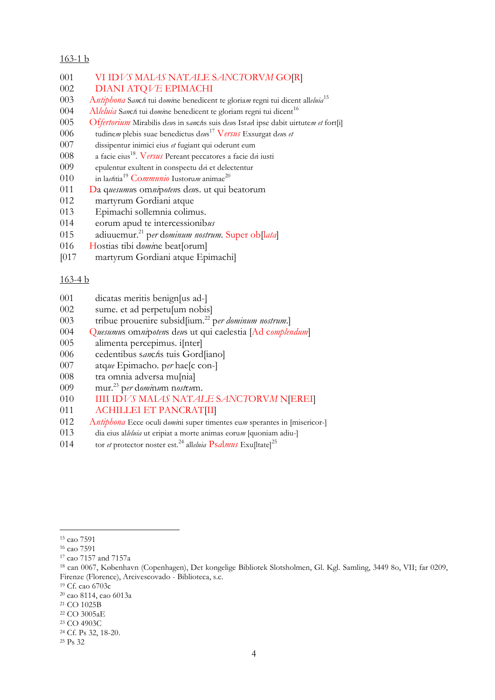#### 163-1 b

| 001 | VI IDVS MALAS NATALE SANCTORVM GOJRJ                                                      |
|-----|-------------------------------------------------------------------------------------------|
| 002 | DIANI ATQVE EPIMACHI                                                                      |
| 003 | Antiphona Sancti tui domine benedicent te gloriam regni tui dicent alleluia <sup>15</sup> |
| 004 | Alleluia Sancti tui domine benedicent te gloriam regni tui dicent <sup>16</sup>           |
| 005 | Offertorium Mirabilis deus in sanctis suis deus Israel ipse dabit uirtutem et fort[i]     |
| 006 | tudinem plebis suae benedictus dens <sup>17</sup> Versus Exsurgat dens et                 |
| 007 | dissipentur inimici eius et fugiant qui oderunt eum                                       |
| 008 | a facie eius <sup>18</sup> . Versus Pereant peccatores a facie dei iusti                  |
| 009 | epulentur exultent in conspectu dei et delectentur                                        |
| 010 | in laetitia <sup>19</sup> Communio Iustorum animae <sup>20</sup>                          |
| 011 | Da quesumus omnipotens deus. ut qui beatorum                                              |
|     |                                                                                           |

- martyrum Gordiani atque
- Epimachi sollemnia colimus.
- eorum apud te intercessionib*us*
- adiuuemur.<sup>21</sup> p*er* d*ominum nostrum.* Super ob[l*ata*]
- Hostias tibi d*omi*ne beat[orum]
- [017 martyrum Gordiani atque Epimachi]

#### 163-4 b

- dicatas meritis benign[us ad-]
- sume. et ad perpetu[um nobis]
- tribue prouenire subsid[ium.<sup>22</sup> p*er dominum nostrum*.]
- Q*uesumu*s om*ni*p*oten*s d*eu*s ut qui caelestia [Ad c*omplendum*]
- alimenta percepimus. i[nter]
- cedentibus s*an*c*t*is tuis Gord[iano]
- atq*ue* Epimacho. p*er* hae[c con-]
- tra omnia adversa mu[nia]
- mur.<sup>23</sup> p*er* d*omi*n*u*m n*ost*r*u*m.
- IIII ID*VS* MAI*AS* NAT*ALE* S*AN*C*T*ORV*M* N[EREI]
- 011 ACHILLEI ET PANCRATIII
- A*ntiphona* Ecce oculi d*omi*ni super timentes eu*m* sperantes in [misericor-]
- dia eius al*leluia* ut eripiat a morte animas eoru*m* [quoniam adiu-]
- tor *et* protector noster est.<sup>24</sup> all*eluia* Ps*a*l*mus* Exu[ltate]<sup>25</sup>

cao 7591

cao 7591

cao 7157 and 7157a

 can 0067, København (Copenhagen), Det kongelige Bibliotek Slotsholmen, Gl. Kgl. Samling, 3449 8o, VII; far 0209, Firenze (Florence), Arcivescovado - Biblioteca, s.c.

Cf. cao 6703c

cao 8114, cao 6013a

CO 1025B

CO 3005aE

 CO 4903C Cf. Ps 32, 18-20.

Ps 32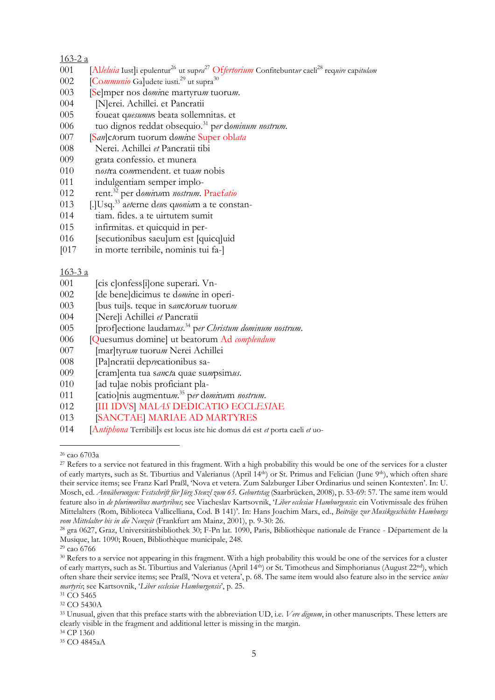#### 163-2 a

- [Al*leluia* Iust]i epulentur<sup>26</sup> ut sup*ra* <sup>27</sup> Of*fertorium* Confitebunt*ur* caeli<sup>28</sup> req*uire* cap*itulam*
- 002 [Communio Galudete iusti.<sup>29</sup> ut supra<sup>30</sup>
- [Se]mper nos d*omi*ne martyru*m* tuoru*m*.
- 004 [N]erei. Achillei. et Pancratii
- foueat q*uesumu*s beata sollemnitas. et
- tuo dignos reddat obsequio.<sup>31</sup> p*er* d*ominum nostrum.*
- [S*an*]c*t*orum tuorum d*omi*ne Super obl*ata*
- Nerei. Achillei *et* Pancratii tibi
- grata confessio. et munera
- n*ost*ra co*m*mendent. et tua*m* nobis
- indulgentiam semper implo-
- rent.<sup>32</sup> per d*omi*n*u*m *nostrum*. Praef*atio*
- [.]Usq.<sup>33</sup> a*et*erne d*eu*s q*uonia*m a te constan-
- tiam. fides. a te uirtutem sumit
- infirmitas. et quicquid in per-
- [secutionibus saeu]um est [quicq]uid
- [017 in morte terribile, nominis tui fa-]

#### 163-3 a

- 001 [cis c]onfess<sup>[i]</sup>one superari. Vn-
- [de bene]dicimus te d*omi*ne in operi-
- [bus tui]s. teque in s*an*c*t*oru*m* tuoru*m*
- [Nere]i Achillei *et* Pancratii
- [prof]ectione laudam*us*. <sup>34</sup> p*er Christum dominum nostrum*.
- [Quesumus domine] ut beatorum Ad *complendum*
- [mar]tyru*m* tuoru*m* Nerei Achillei
- [Pa]ncratii dep*re*cationibus sa-
- [cram]enta tua s*an*c*t*a quae su*m*psim*us*.
- 010 [ad tu]ae nobis proficiant pla-
- [catio]nis augmentu*m*. <sup>35</sup> p*er* d*omi*n*u*m *nostrum*.
- [III IDVS] MAI*AS* DEDICATIO ECCL*ESI*AE
- [SANCTAE] MARIAE AD MARTYRES
- [A*ntiphona* Terribili]s est locus iste hic domus d*e*i est *et* porta caeli *et* uo-

cao 6703a

<sup>&</sup>lt;sup>27</sup> Refers to a service not featured in this fragment. With a high probability this would be one of the services for a cluster of early martyrs, such as St. Tiburtius and Valerianus (April 14th) or St. Primus and Felician (June 9th), which often share their service items; see Franz Karl Praßl, 'Nova et vetera. Zum Salzburger Liber Ordinarius und seinen Kontexten'. In: U. Mosch, ed. *Annäherungen: Festschrift für Jürg Stenzl zum 65. Geburtstag* (Saarbrücken, 2008), p. 53-69: 57. The same item would feature also in *de plurimoribus martyribus*; see Viacheslav Kartsovnik, '*Liber ecclesiae Hamburgensis*: ein Votivmissale des frühen Mittelalters (Rom, Biblioteca Vallicelliana, Cod. B 141)'. In: Hans Joachim Marx, ed., *Beiträge zur Musikgeschichte Hamburgs vom Mittelalter bis in die Neuzeit* (Frankfurt am Mainz, 2001), p. 9-30: 26.

 gra 0627, Graz, Universitätsbibliothek 30; F-Pn lat. 1090, Paris, Bibliothèque nationale de France - Département de la Musique, lat. 1090; Rouen, Bibliothèque municipale, 248.

cao 6766

 Refers to a service not appearing in this fragment. With a high probability this would be one of the services for a cluster of early martyrs, such as St. Tiburtius and Valerianus (April 14th) or St. Timotheus and Simphorianus (August 22nd), which often share their service items; see Praßl, 'Nova et vetera', p. 68. The same item would also feature also in the service *unius martyris*; see Kartsovnik, '*Liber ecclesiae Hamburgensis*', p. 25.

<sup>&</sup>lt;sup>31</sup> CO 5465

CO 5430A

 Unusual, given that this preface starts with the abbreviation UD, i.e. *Vere dignum*, in other manuscripts. These letters are clearly visible in the fragment and additional letter is missing in the margin. CP 1360

CO 4845aA